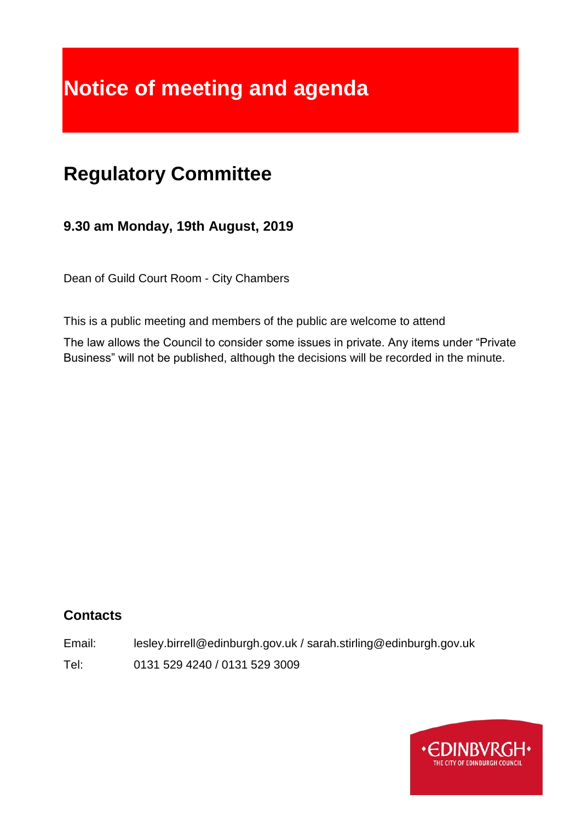# **Notice of meeting and agenda**

# **Regulatory Committee**

**9.30 am Monday, 19th August, 2019**

Dean of Guild Court Room - City Chambers

This is a public meeting and members of the public are welcome to attend

The law allows the Council to consider some issues in private. Any items under "Private Business" will not be published, although the decisions will be recorded in the minute.

# **Contacts**

Email: lesley.birrell@edinburgh.gov.uk / sarah.stirling@edinburgh.gov.uk Tel: 0131 529 4240 / 0131 529 3009

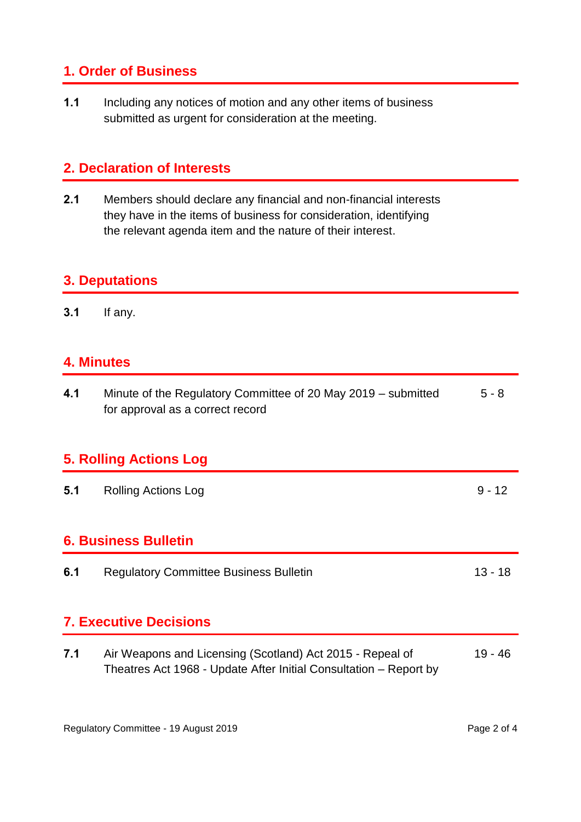# **1. Order of Business**

**1.1** Including any notices of motion and any other items of business submitted as urgent for consideration at the meeting.

# **2. Declaration of Interests**

**2.1** Members should declare any financial and non-financial interests they have in the items of business for consideration, identifying the relevant agenda item and the nature of their interest.

#### **3. Deputations**

**3.1** If any.

#### **4. Minutes**

| 4.1                           | Minute of the Regulatory Committee of 20 May 2019 – submitted<br>for approval as a correct record                              | $5 - 8$   |  |
|-------------------------------|--------------------------------------------------------------------------------------------------------------------------------|-----------|--|
| <b>5. Rolling Actions Log</b> |                                                                                                                                |           |  |
| 5.1                           | <b>Rolling Actions Log</b>                                                                                                     | $9 - 12$  |  |
| <b>6. Business Bulletin</b>   |                                                                                                                                |           |  |
| 6.1                           | <b>Regulatory Committee Business Bulletin</b>                                                                                  | $13 - 18$ |  |
| <b>7. Executive Decisions</b> |                                                                                                                                |           |  |
| 7.1                           | Air Weapons and Licensing (Scotland) Act 2015 - Repeal of<br>Theatres Act 1968 - Update After Initial Consultation – Report by | $19 - 46$ |  |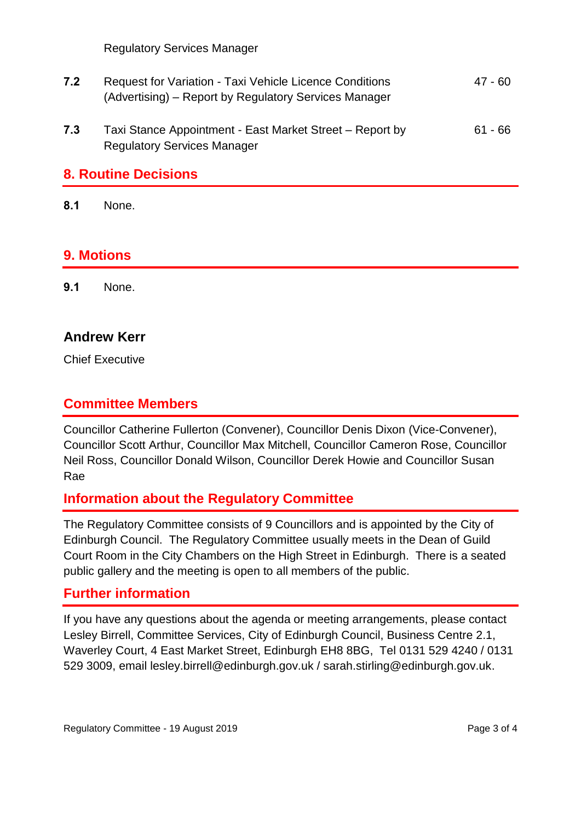Regulatory Services Manager

| 7.2 | <b>Request for Variation - Taxi Vehicle Licence Conditions</b><br>(Advertising) - Report by Regulatory Services Manager | 47 - 60   |
|-----|-------------------------------------------------------------------------------------------------------------------------|-----------|
| 7.3 | Taxi Stance Appointment - East Market Street – Report by<br><b>Regulatory Services Manager</b>                          | $61 - 66$ |

#### **8. Routine Decisions**

**8.1** None.

# **9. Motions**

**9.1** None.

#### **Andrew Kerr**

Chief Executive

#### **Committee Members**

Councillor Catherine Fullerton (Convener), Councillor Denis Dixon (Vice-Convener), Councillor Scott Arthur, Councillor Max Mitchell, Councillor Cameron Rose, Councillor Neil Ross, Councillor Donald Wilson, Councillor Derek Howie and Councillor Susan Rae

# **Information about the Regulatory Committee**

The Regulatory Committee consists of 9 Councillors and is appointed by the City of Edinburgh Council. The Regulatory Committee usually meets in the Dean of Guild Court Room in the City Chambers on the High Street in Edinburgh. There is a seated public gallery and the meeting is open to all members of the public.

#### **Further information**

If you have any questions about the agenda or meeting arrangements, please contact Lesley Birrell, Committee Services, City of Edinburgh Council, Business Centre 2.1, Waverley Court, 4 East Market Street, Edinburgh EH8 8BG, Tel 0131 529 4240 / 0131 529 3009, email lesley.birrell@edinburgh.gov.uk / sarah.stirling@edinburgh.gov.uk.